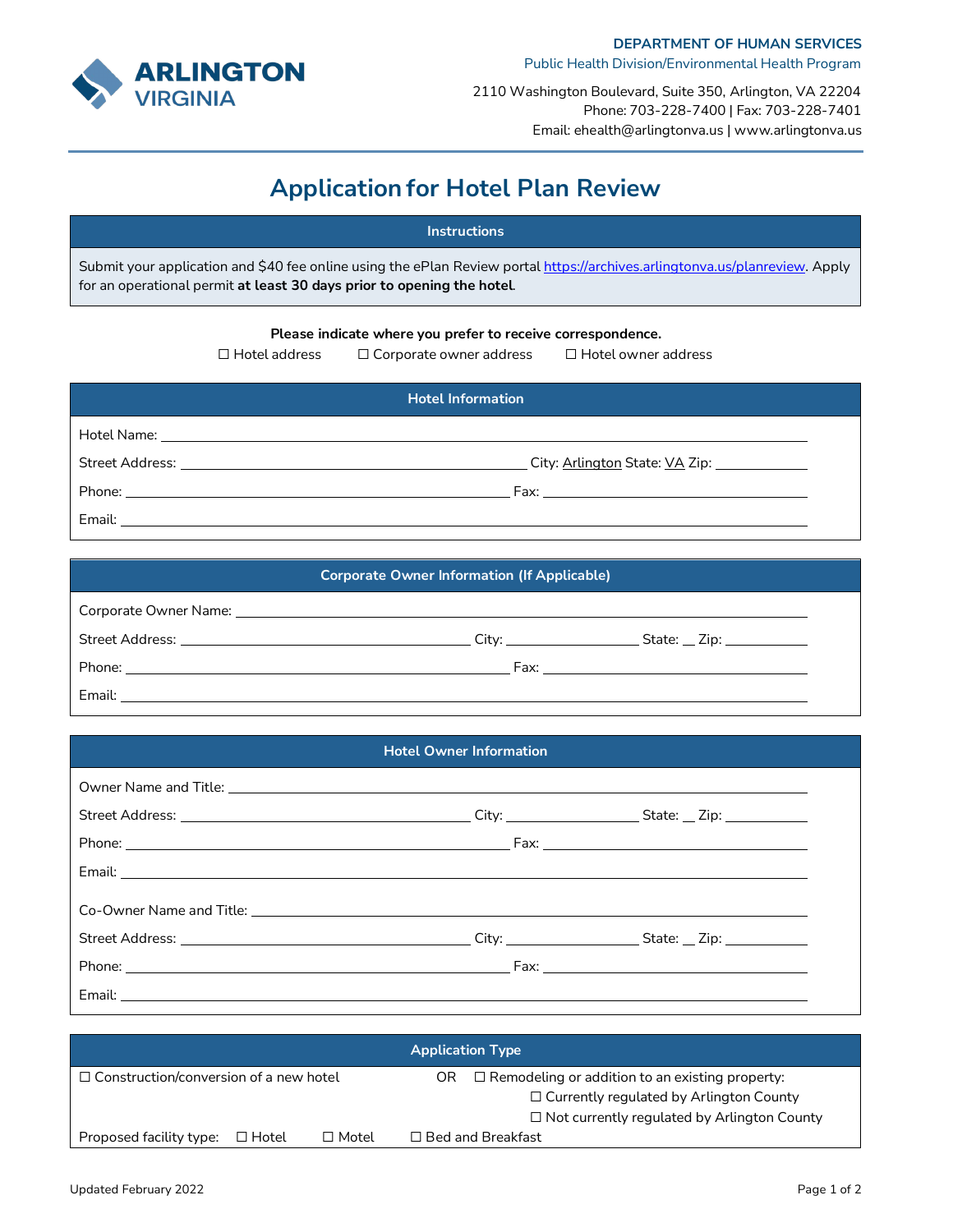

2110 Washington Boulevard, Suite 350, Arlington, VA 22204 Phone: 703-228-7400 | Fax: 703-228-7401 Email: ehealth@arlingtonva.us | www.arlingtonva.us

# **Application for Hotel Plan Review**

### **Instructions**

Submit your application and \$40 fee online using the ePlan Review portal [https://archives.arlingtonva.us/planreview.](https://archives.arlingtonva.us/planreview) Apply for an operational permit **at least 30 days prior to opening the hotel**.

#### **Please indicate where you prefer to receive correspondence.**

☐ Hotel address ☐ Corporate owner address ☐ Hotel owner address

| <b>Hotel Information</b> |  |  |  |  |
|--------------------------|--|--|--|--|
|                          |  |  |  |  |
|                          |  |  |  |  |
|                          |  |  |  |  |
|                          |  |  |  |  |

## **Corporate Owner Information (If Applicable)** Corporate Owner Name: Street Address: City: State: Zip: Phone: Fax: Email:

#### **Hotel Owner Information**

| <b>Application Type</b>                       |  |              |                                                                                                                 |  |  |  |
|-----------------------------------------------|--|--------------|-----------------------------------------------------------------------------------------------------------------|--|--|--|
| $\Box$ Construction/conversion of a new hotel |  |              | $\Box$ Remodeling or addition to an existing property:<br>OR.<br>$\Box$ Currently regulated by Arlington County |  |  |  |
|                                               |  |              | $\Box$ Not currently regulated by Arlington County                                                              |  |  |  |
| Proposed facility type: $\Box$ Hotel          |  | $\Box$ Motel | $\Box$ Bed and Breakfast                                                                                        |  |  |  |